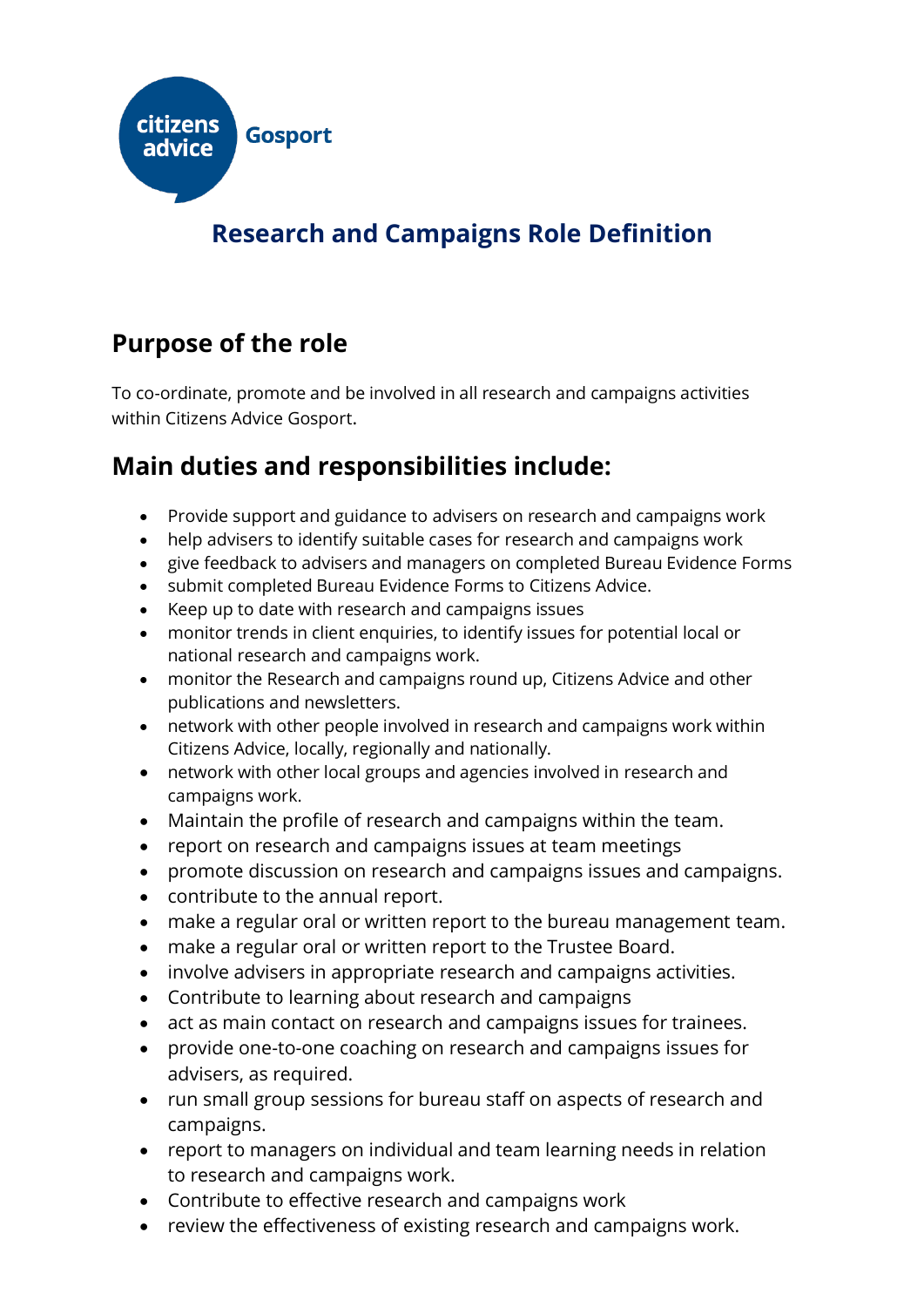

# **Research and Campaigns Role Definition**

## **Purpose of the role**

To co-ordinate, promote and be involved in all research and campaigns activities within Citizens Advice Gosport.

### **Main duties and responsibilities include:**

- Provide support and guidance to advisers on research and campaigns work
- help advisers to identify suitable cases for research and campaigns work
- give feedback to advisers and managers on completed Bureau Evidence Forms
- submit completed Bureau Evidence Forms to Citizens Advice.
- Keep up to date with research and campaigns issues
- monitor trends in client enquiries, to identify issues for potential local or national research and campaigns work.
- monitor the Research and campaigns round up, Citizens Advice and other publications and newsletters.
- network with other people involved in research and campaigns work within Citizens Advice, locally, regionally and nationally.
- network with other local groups and agencies involved in research and campaigns work.
- Maintain the profile of research and campaigns within the team.
- report on research and campaigns issues at team meetings
- promote discussion on research and campaigns issues and campaigns.
- contribute to the annual report.
- make a regular oral or written report to the bureau management team.
- make a regular oral or written report to the Trustee Board.
- involve advisers in appropriate research and campaigns activities.
- Contribute to learning about research and campaigns
- act as main contact on research and campaigns issues for trainees.
- provide one-to-one coaching on research and campaigns issues for advisers, as required.
- run small group sessions for bureau staff on aspects of research and campaigns.
- report to managers on individual and team learning needs in relation to research and campaigns work.
- Contribute to effective research and campaigns work
- review the effectiveness of existing research and campaigns work.